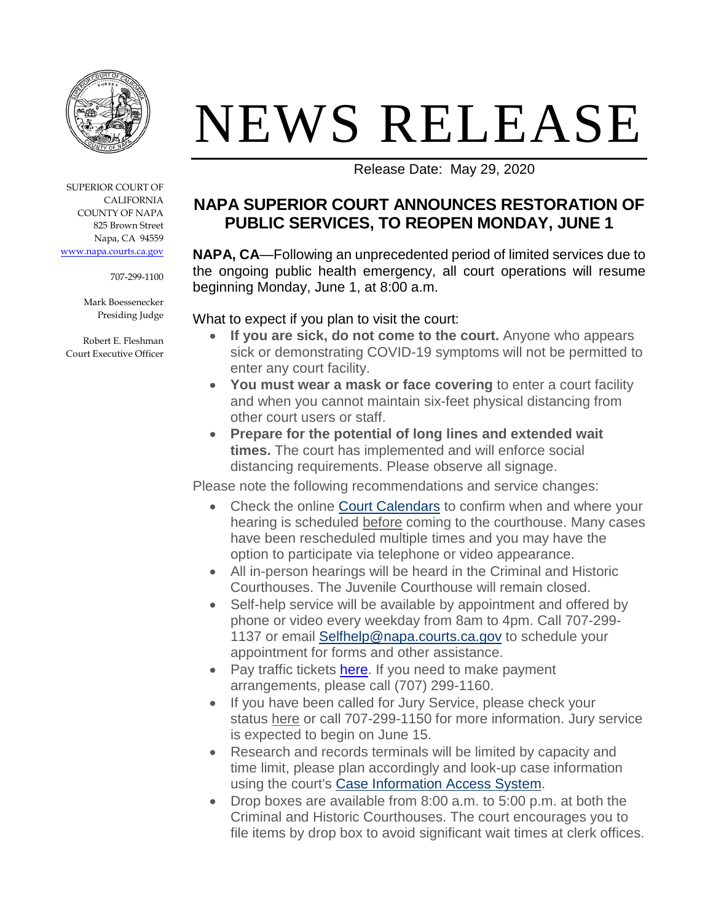

# NEWS RELEASE

SUPERIOR COURT OF CALIFORNIA COUNTY OF NAPA 825 Brown Street Napa, CA 94559 [www.napa.courts.ca.gov](http://www.napa.courts.ca.gov/)

707-299-1100

Mark Boessenecker Presiding Judge

Robert E. Fleshman Court Executive Officer Release Date: May 29, 2020

# **NAPA SUPERIOR COURT ANNOUNCES RESTORATION OF PUBLIC SERVICES, TO REOPEN MONDAY, JUNE 1**

**NAPA, CA**—Following an unprecedented period of limited services due to the ongoing public health emergency, all court operations will resume beginning Monday, June 1, at 8:00 a.m.

#### What to expect if you plan to visit the court:

- **If you are sick, do not come to the court.** Anyone who appears sick or demonstrating COVID-19 symptoms will not be permitted to enter any court facility.
- **You must wear a mask or face covering** to enter a court facility and when you cannot maintain six-feet physical distancing from other court users or staff.
- **Prepare for the potential of long lines and extended wait times.** The court has implemented and will enforce social distancing requirements. Please observe all signage.

Please note the following recommendations and service changes:

- Check the online [Court Calendars](http://napa.courts.ca.gov/court/calendars) to confirm when and where your hearing is scheduled before coming to the courthouse. Many cases have been rescheduled multiple times and you may have the option to participate via telephone or video appearance.
- All in-person hearings will be heard in the Criminal and Historic Courthouses. The Juvenile Courthouse will remain closed.
- Self-help service will be available by appointment and offered by phone or video every weekday from 8am to 4pm. Call 707-299- 1137 or email [Selfhelp@napa.courts.ca.gov](mailto:selfhelp@napa.courts.ca.gov) to schedule your appointment for forms and other assistance.
- Pay traffic tickets [here.](http://www.napa.courts.ca.gov/caselookup) If you need to make payment arrangements, please call (707) 299-1160.
- If you have been called for Jury Service, please check your status [here](http://napa.courts.ca.gov/divisions/jury) or call 707-299-1150 for more information. Jury service is expected to begin on June 15.
- Research and records terminals will be limited by capacity and time limit, please plan accordingly and look-up case information using the court's [Case Information Access System.](http://napa.courts.ca.gov/caselookup)
- Drop boxes are available from 8:00 a.m. to 5:00 p.m. at both the Criminal and Historic Courthouses. The court encourages you to file items by drop box to avoid significant wait times at clerk offices.